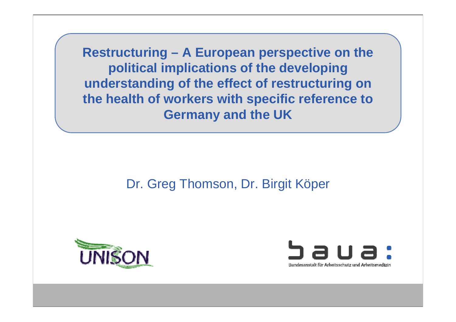**Restructuring – A European perspective on the political implications of the developing understanding of the effect of restructuring on the health of workers with specific reference to Germany and the UK**

#### Dr. Greg Thomson, Dr. Birgit Köper



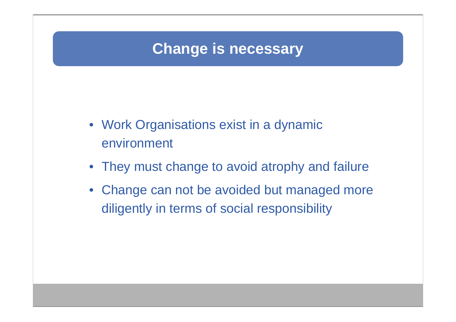# **Change is necessary**

- Work Organisations exist in a dynamic environment
- They must change to avoid atrophy and failure
- Change can not be avoided but managed more diligently in terms of social responsibility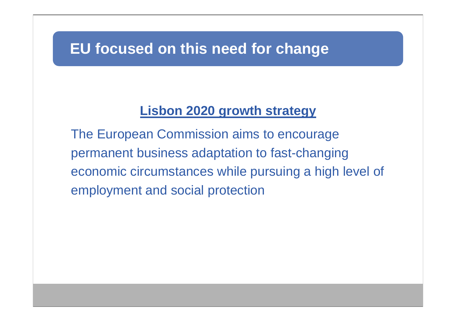#### **EU focused on this need for change**

#### **Lisbon 2020 growth strategy**

The European Commission aims to encourage permanent business adaptation to fast-changing economic circumstances while pursuing a high level of employment and social protection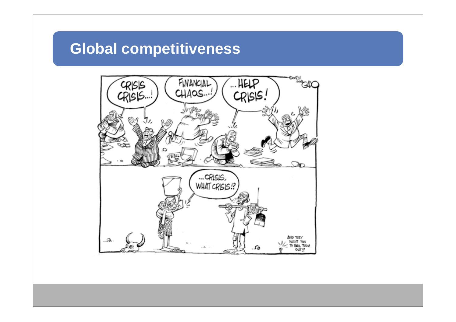# **Global competitiveness**

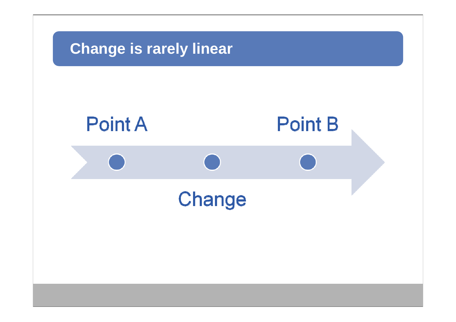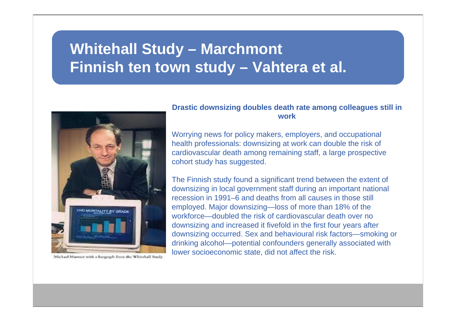# **Whitehall Study – Marchmont Finnish ten town study – Vahtera et al.**



Michael Marmot with a bargeaph from the Whitehall Study

#### **Drastic downsizing doubles death rate among colleagues still in work**

Worrying news for policy makers, employers, and occupational health professionals: downsizing at work can double the risk of cardiovascular death among remaining staff, a large prospective cohort study has suggested.

The Finnish study found a significant trend between the extent of downsizing in local government staff during an important national recession in 1991–6 and deaths from all causes in those still employed. Major downsizing—loss of more than 18% of the workforce—doubled the risk of cardiovascular death over no downsizing and increased it fivefold in the first four years after downsizing occurred. Sex and behavioural risk factors—smoking or drinking alcohol—potential confounders generally associated with lower socioeconomic state, did not affect the risk.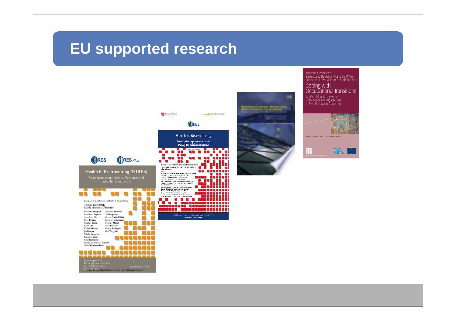### **EU supported research**





**Construction** 

**KRISTA DE DA SA SA** 

Thomas Kieselbach Sebastiano Bagnara · Hans De Witte<br>Louis Lemkow · Wilmar Schaufeli (Eds.)

#### Coping with Occupational Transitions

An Empirical Study with<br>Employees Facing Job Loss<br>in Five European Countries



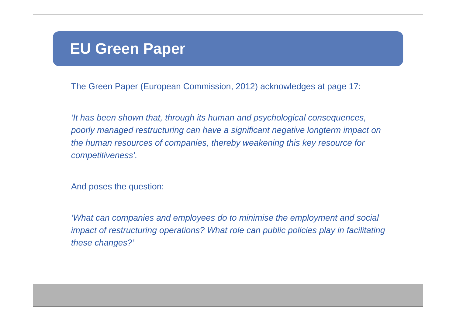### **EU Green Paper**

The Green Paper (European Commission, 2012) acknowledges at page 17:

*'It has been shown that, through its human and psychological consequences, poorly managed restructuring can have a significant negative longterm impact on the human resources of companies, thereby weakening this key resource for competitiveness'.*

And poses the question:

*'What can companies and employees do to minimise the employment and social impact of restructuring operations? What role can public policies play in facilitating these changes?'*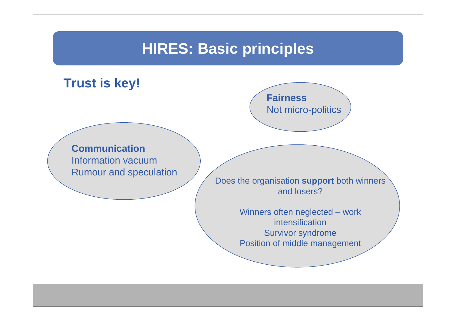# **HIRES: Basic principles**

#### **Trust is key!**

**Fairness** Not micro-politics

**Communication** Information vacuumRumour and speculation

Does the organisation **support** both winners and losers?

> Winners often neglected – work intensificationSurvivor syndrome Position of middle management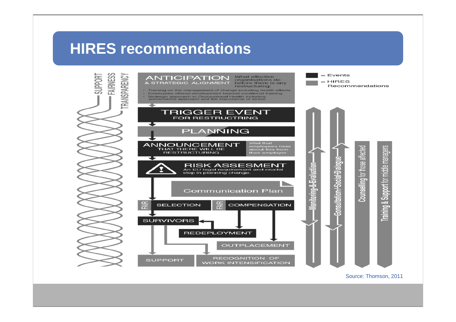### **HIRES recommendations**





Source: Thomson, 2011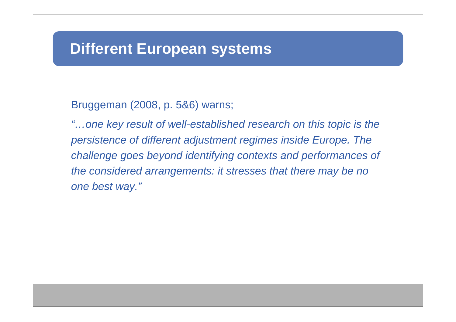#### **Different European systems**

#### Bruggeman (2008, p. 5&6) warns;

*"…one key result of well-established research on this topic is the persistence of different adjustment regimes inside Europe. The challenge goes beyond identifying contexts and performances of the considered arrangements: it stresses that there may be no one best way."*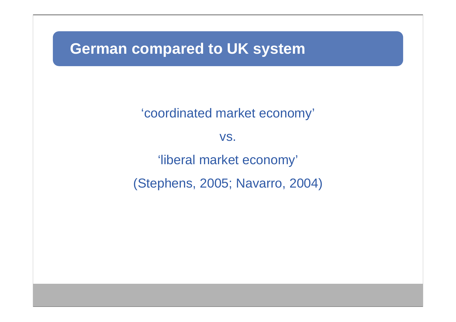# **German compared to UK system**

'coordinated market economy'

vs.

'liberal market economy' (Stephens, 2005; Navarro, 2004)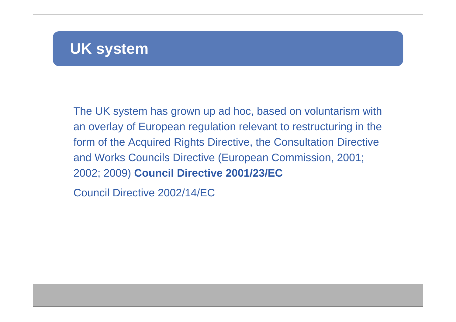# **UK system**

The UK system has grown up ad hoc, based on voluntarism with an overlay of European regulation relevant to restructuring in the form of the Acquired Rights Directive, the Consultation Directive and Works Councils Directive (European Commission, 2001; 2002; 2009) **Council Directive 2001/23/EC**

Council Directive 2002/14/EC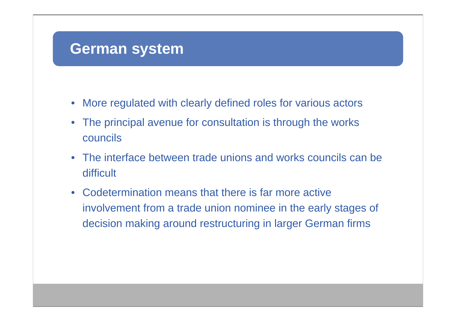#### **German system**

- $\bullet$ More regulated with clearly defined roles for various actors
- The principal avenue for consultation is through the works councils
- The interface between trade unions and works councils can be difficult
- Codetermination means that there is far more active involvement from a trade union nominee in the early stages of decision making around restructuring in larger German firms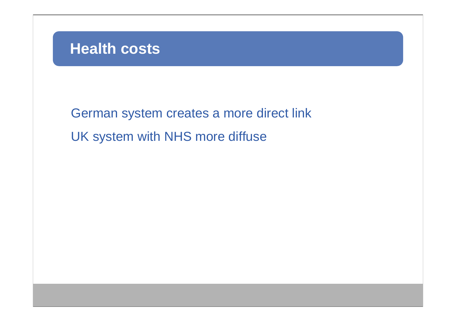

German system creates a more direct link UK system with NHS more diffuse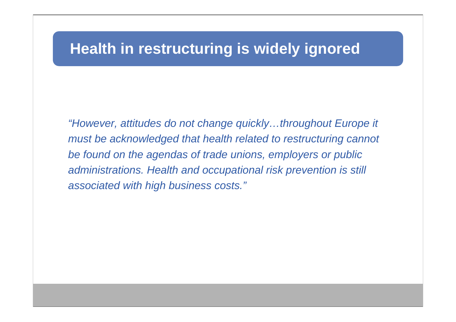# **Health in restructuring is widely ignored**

*"However, attitudes do not change quickly…throughout Europe it must be acknowledged that health related to restructuring cannot be found on the agendas of trade unions, employers or public administrations. Health and occupational risk prevention is still associated with high business costs."*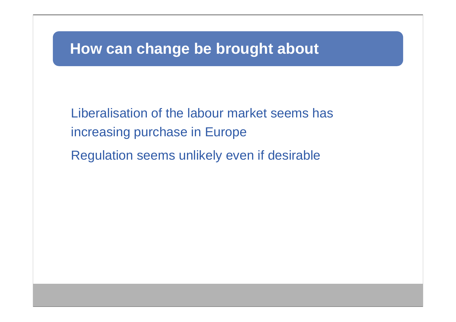# **How can change be brought about**

Liberalisation of the labour market seems has increasing purchase in Europe

Regulation seems unlikely even if desirable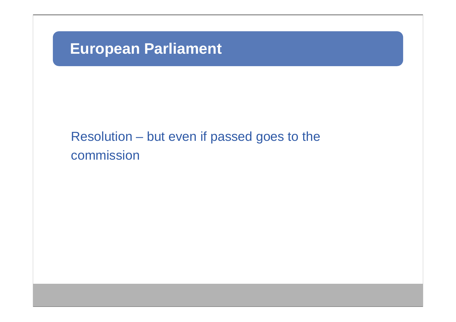# **European Parliament**

# Resolution – but even if passed goes to the commission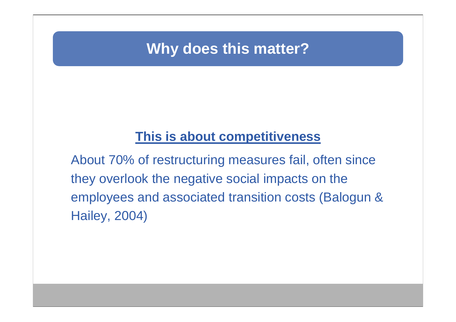# **Why does this matter?**

#### **This is about competitiveness**

About 70% of restructuring measures fail, often since they overlook the negative social impacts on the employees and associated transition costs (Balogun & Hailey, 2004)